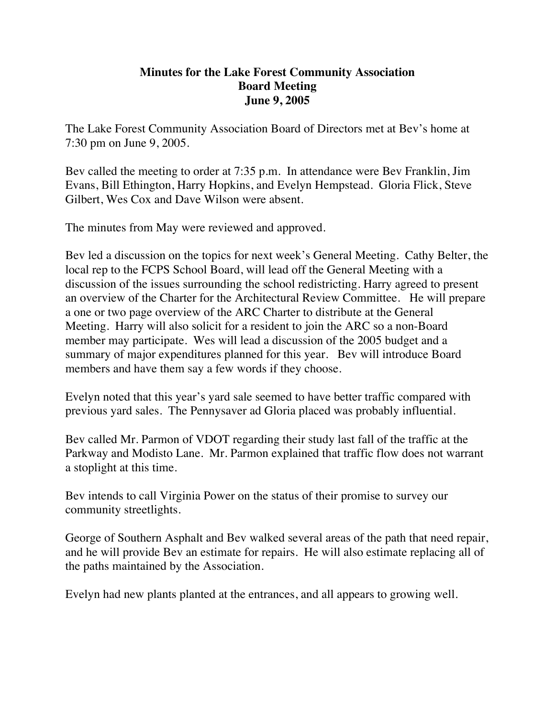## **Minutes for the Lake Forest Community Association Board Meeting June 9, 2005**

The Lake Forest Community Association Board of Directors met at Bev's home at 7:30 pm on June 9, 2005.

Bev called the meeting to order at 7:35 p.m. In attendance were Bev Franklin, Jim Evans, Bill Ethington, Harry Hopkins, and Evelyn Hempstead. Gloria Flick, Steve Gilbert, Wes Cox and Dave Wilson were absent.

The minutes from May were reviewed and approved.

Bev led a discussion on the topics for next week's General Meeting. Cathy Belter, the local rep to the FCPS School Board, will lead off the General Meeting with a discussion of the issues surrounding the school redistricting. Harry agreed to present an overview of the Charter for the Architectural Review Committee. He will prepare a one or two page overview of the ARC Charter to distribute at the General Meeting. Harry will also solicit for a resident to join the ARC so a non-Board member may participate. Wes will lead a discussion of the 2005 budget and a summary of major expenditures planned for this year. Bev will introduce Board members and have them say a few words if they choose.

Evelyn noted that this year's yard sale seemed to have better traffic compared with previous yard sales. The Pennysaver ad Gloria placed was probably influential.

Bev called Mr. Parmon of VDOT regarding their study last fall of the traffic at the Parkway and Modisto Lane. Mr. Parmon explained that traffic flow does not warrant a stoplight at this time.

Bev intends to call Virginia Power on the status of their promise to survey our community streetlights.

George of Southern Asphalt and Bev walked several areas of the path that need repair, and he will provide Bev an estimate for repairs. He will also estimate replacing all of the paths maintained by the Association.

Evelyn had new plants planted at the entrances, and all appears to growing well.